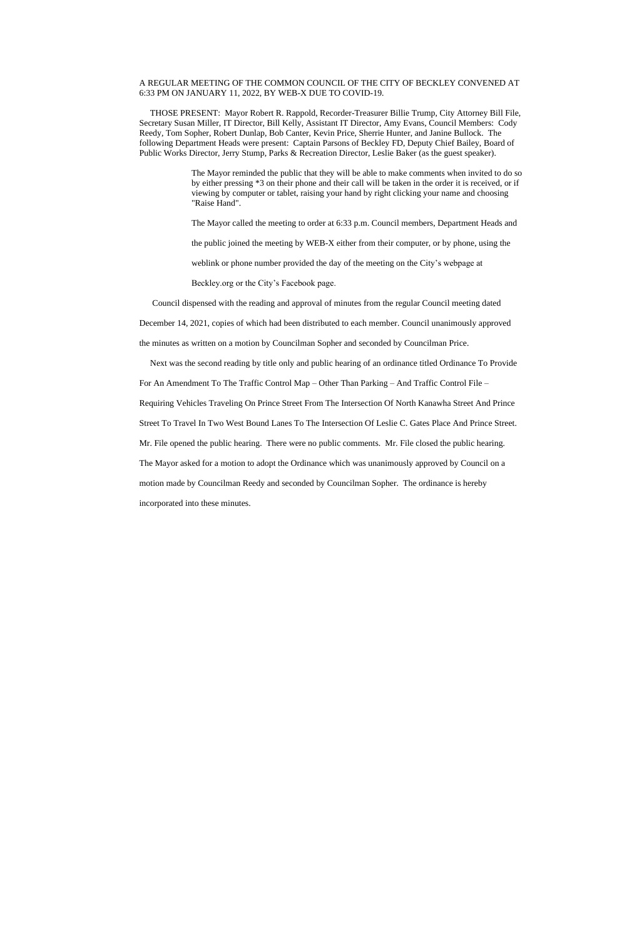## A REGULAR MEETING OF THE COMMON COUNCIL OF THE CITY OF BECKLEY CONVENED AT 6:33 PM ON JANUARY 11, 2022, BY WEB-X DUE TO COVID-19.

 THOSE PRESENT: Mayor Robert R. Rappold, Recorder-Treasurer Billie Trump, City Attorney Bill File, Secretary Susan Miller, IT Director, Bill Kelly, Assistant IT Director, Amy Evans, Council Members: Cody Reedy, Tom Sopher, Robert Dunlap, Bob Canter, Kevin Price, Sherrie Hunter, and Janine Bullock. The following Department Heads were present: Captain Parsons of Beckley FD, Deputy Chief Bailey, Board of Public Works Director, Jerry Stump, Parks & Recreation Director, Leslie Baker (as the guest speaker).

> The Mayor reminded the public that they will be able to make comments when invited to do so by either pressing \*3 on their phone and their call will be taken in the order it is received, or if viewing by computer or tablet, raising your hand by right clicking your name and choosing "Raise Hand".

The Mayor called the meeting to order at 6:33 p.m. Council members, Department Heads and

the public joined the meeting by WEB-X either from their computer, or by phone, using the

weblink or phone number provided the day of the meeting on the City's webpage at

Beckley.org or the City's Facebook page.

Council dispensed with the reading and approval of minutes from the regular Council meeting dated

December 14, 2021, copies of which had been distributed to each member. Council unanimously approved

the minutes as written on a motion by Councilman Sopher and seconded by Councilman Price.

 Next was the second reading by title only and public hearing of an ordinance titled Ordinance To Provide For An Amendment To The Traffic Control Map – Other Than Parking – And Traffic Control File – Requiring Vehicles Traveling On Prince Street From The Intersection Of North Kanawha Street And Prince Street To Travel In Two West Bound Lanes To The Intersection Of Leslie C. Gates Place And Prince Street. Mr. File opened the public hearing. There were no public comments. Mr. File closed the public hearing. The Mayor asked for a motion to adopt the Ordinance which was unanimously approved by Council on a motion made by Councilman Reedy and seconded by Councilman Sopher. The ordinance is hereby incorporated into these minutes.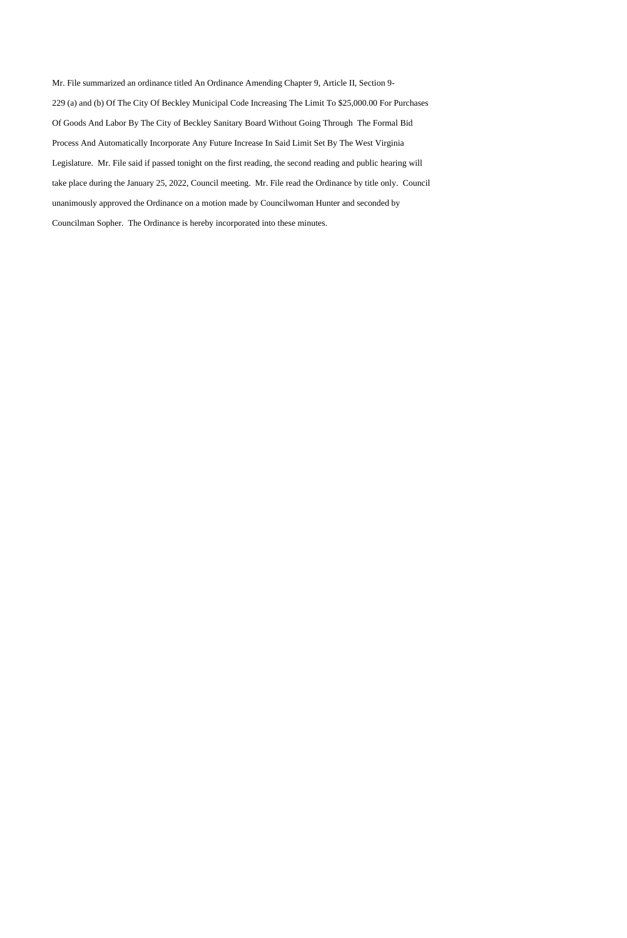Mr. File summarized an ordinance titled An Ordinance Amending Chapter 9, Article II, Section 9- 229 (a) and (b) Of The City Of Beckley Municipal Code Increasing The Limit To \$25,000.00 For Purchases Of Goods And Labor By The City of Beckley Sanitary Board Without Going Through The Formal Bid Process And Automatically Incorporate Any Future Increase In Said Limit Set By The West Virginia Legislature. Mr. File said if passed tonight on the first reading, the second reading and public hearing will take place during the January 25, 2022, Council meeting. Mr. File read the Ordinance by title only. Council unanimously approved the Ordinance on a motion made by Councilwoman Hunter and seconded by Councilman Sopher. The Ordinance is hereby incorporated into these minutes.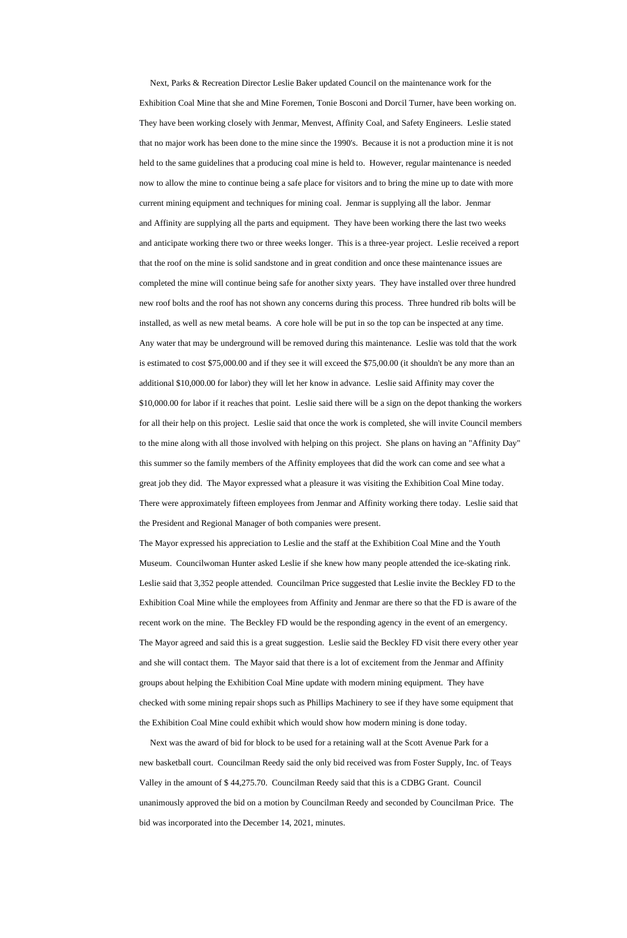Next, Parks & Recreation Director Leslie Baker updated Council on the maintenance work for the Exhibition Coal Mine that she and Mine Foremen, Tonie Bosconi and Dorcil Turner, have been working on. They have been working closely with Jenmar, Menvest, Affinity Coal, and Safety Engineers. Leslie stated that no major work has been done to the mine since the 1990's. Because it is not a production mine it is not held to the same guidelines that a producing coal mine is held to. However, regular maintenance is needed now to allow the mine to continue being a safe place for visitors and to bring the mine up to date with more current mining equipment and techniques for mining coal. Jenmar is supplying all the labor. Jenmar and Affinity are supplying all the parts and equipment. They have been working there the last two weeks and anticipate working there two or three weeks longer. This is a three-year project. Leslie received a report that the roof on the mine is solid sandstone and in great condition and once these maintenance issues are completed the mine will continue being safe for another sixty years. They have installed over three hundred new roof bolts and the roof has not shown any concerns during this process. Three hundred rib bolts will be installed, as well as new metal beams. A core hole will be put in so the top can be inspected at any time. Any water that may be underground will be removed during this maintenance. Leslie was told that the work is estimated to cost \$75,000.00 and if they see it will exceed the \$75,00.00 (it shouldn't be any more than an additional \$10,000.00 for labor) they will let her know in advance. Leslie said Affinity may cover the \$10,000.00 for labor if it reaches that point. Leslie said there will be a sign on the depot thanking the workers for all their help on this project. Leslie said that once the work is completed, she will invite Council members to the mine along with all those involved with helping on this project. She plans on having an "Affinity Day" this summer so the family members of the Affinity employees that did the work can come and see what a great job they did. The Mayor expressed what a pleasure it was visiting the Exhibition Coal Mine today. There were approximately fifteen employees from Jenmar and Affinity working there today. Leslie said that the President and Regional Manager of both companies were present.

The Mayor expressed his appreciation to Leslie and the staff at the Exhibition Coal Mine and the Youth Museum. Councilwoman Hunter asked Leslie if she knew how many people attended the ice-skating rink. Leslie said that 3,352 people attended. Councilman Price suggested that Leslie invite the Beckley FD to the Exhibition Coal Mine while the employees from Affinity and Jenmar are there so that the FD is aware of the recent work on the mine. The Beckley FD would be the responding agency in the event of an emergency. The Mayor agreed and said this is a great suggestion. Leslie said the Beckley FD visit there every other year

and she will contact them. The Mayor said that there is a lot of excitement from the Jenmar and Affinity groups about helping the Exhibition Coal Mine update with modern mining equipment. They have checked with some mining repair shops such as Phillips Machinery to see if they have some equipment that the Exhibition Coal Mine could exhibit which would show how modern mining is done today. Next was the award of bid for block to be used for a retaining wall at the Scott Avenue Park for a new basketball court. Councilman Reedy said the only bid received was from Foster Supply, Inc. of Teays Valley in the amount of \$ 44,275.70. Councilman Reedy said that this is a CDBG Grant. Council unanimously approved the bid on a motion by Councilman Reedy and seconded by Councilman Price. The bid was incorporated into the December 14, 2021, minutes.